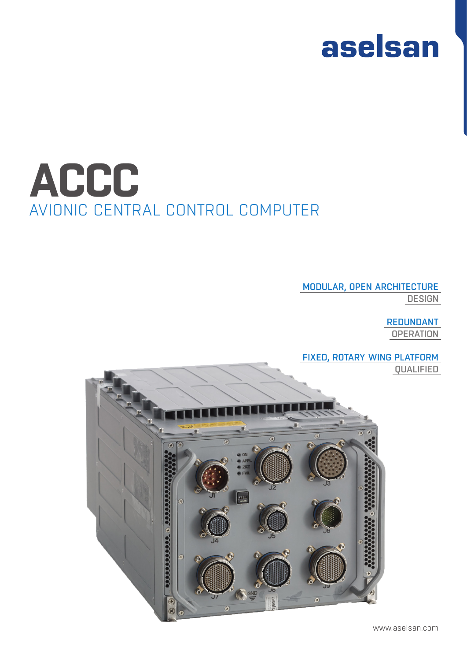## aselsan



#### MODULAR, OPEN ARCHITECTURE

DESIGN

REDUNDANT **OPERATION** 

#### FIXED, ROTARY WING PLATFORM

QUALIFIED